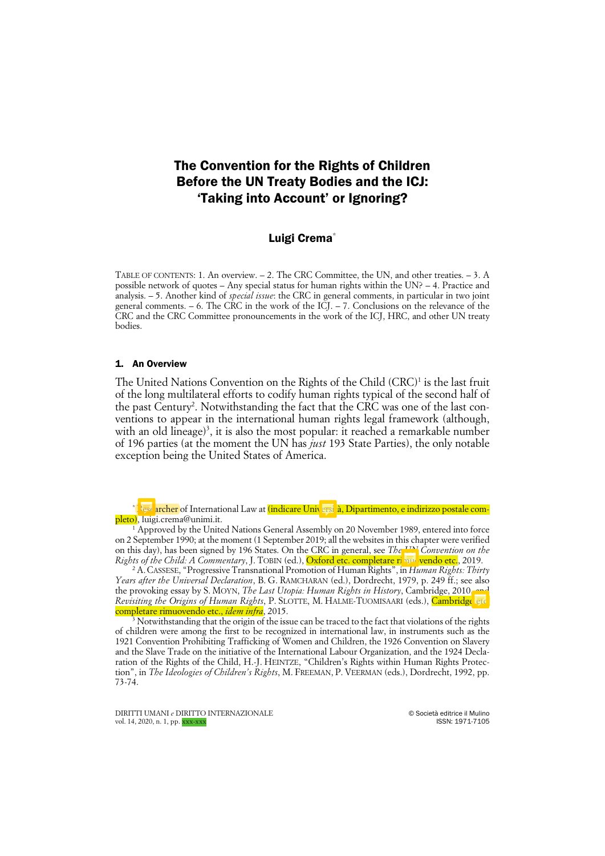# The Convention for the Rights of Children Before the UN Treaty Bodies and the ICJ: 'Taking into Account' or Ignoring?

## Luigi Crema<sup>\*</sup>

TABLE OF CONTENTS: 1. An overview. – 2. The CRC Committee, the UN, and other treaties. – 3. A possible network of quotes – Any special status for human rights within the UN? – 4. Practice and analysis. – 5. Another kind of *special issue*: the CRC in general comments, in particular in two joint general comments. – 6. The CRC in the work of the ICJ. – 7. Conclusions on the relevance of the CRC and the CRC Committee pronouncements in the work of the ICJ, HRC, and other UN treaty bodies.

#### 1. An Overview

The United Nations Convention on the Rights of the Child  $(CRC)^1$  is the last fruit of the long multilateral efforts to codify human rights typical of the second half of the past Century<sup>2</sup>. Notwithstanding the fact that the CRC was one of the last conventions to appear in the international human rights legal framework (although, with an old lineage)<sup>3</sup>, it is also the most popular: it reached a remarkable number of 196 parties (at the moment the UN has *just* 193 State Parties), the only notable exception being the United States of America.

archer of International Law at (indicare Università, Dipartimento, e indirizzo postale completo), luigi.crema@unimi.it.

 $1$  Approved by the United Nations General Assembly on 20 November 1989, entered into force on 2 September 1990; at the moment (1 September 2019; all the websites in this chapter were verified on this day), has been signed by 196 States. On the CRC in general, see *The UN Convention on the Rights of the Child: A Commentary, J. TOBIN (ed.), <mark>Oxford etc. completare rimul vendo etc.</mark>, 2019.* 

<sup>2</sup> A.CASSESE, "Progressive Transnational Promotion of Human Rights", in *Human Rights: Thirty Years after the Universal Declaration*, B. G. RAMCHARAN (ed.), Dordrecht, 1979, p. 249 ff.; see also the provoking essay by S. MOYN, *The Last Utopia: Human Rights in History*, Cambridge, 2010, *Revisiting the Origins of Human Rights*, P. SLOTTE, M. HALME-TUOMISAARI (eds.), Cambridge etc. completare rimuovendo etc., *idem infra*, 2015.

Notwithstanding that the origin of the issue can be traced to the fact that violations of the rights of children were among the first to be recognized in international law, in instruments such as the 1921 Convention Prohibiting Trafficking of Women and Children, the 1926 Convention on Slavery and the Slave Trade on the initiative of the International Labour Organization, and the 1924 Declaration of the Rights of the Child, H.-J. HEINTZE, "Children's Rights within Human Rights Protection", in *The Ideologies of Children's Rights*, M. FREEMAN, P. VEERMAN (eds.), Dordrecht, 1992, pp. 73-74.

DIRITTI UMANI *e* DIRITTO INTERNAZIONALE © Società editrice il Mulino vol. 14, 2020, n. 1, pp. xxx-xxx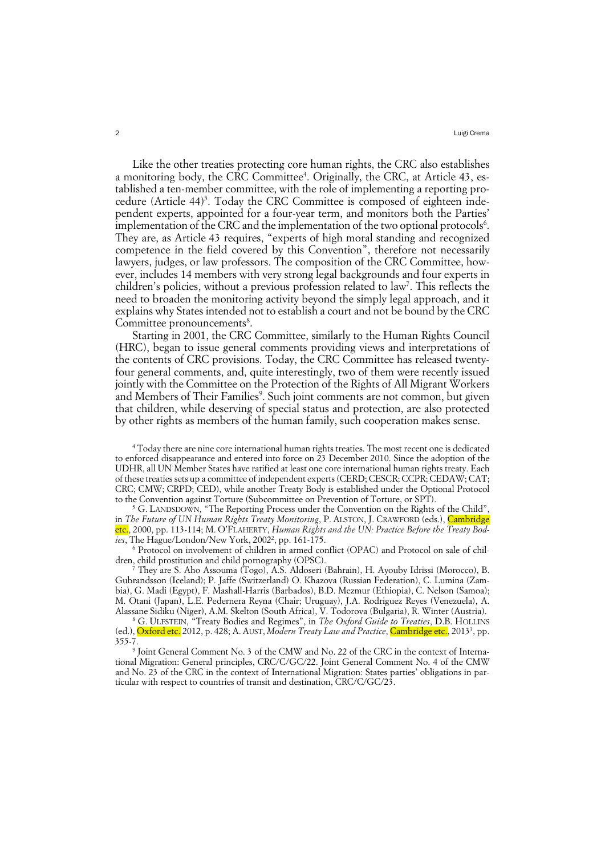Like the other treaties protecting core human rights, the CRC also establishes a monitoring body, the CRC Committee<sup>4</sup>. Originally, the CRC, at Article 43, established a ten-member committee, with the role of implementing a reporting procedure (Article 44)<sup>5</sup>. Today the CRC Committee is composed of eighteen independent experts, appointed for a four-year term, and monitors both the Parties' implementation of the CRC and the implementation of the two optional protocols $6$ . They are, as Article 43 requires, "experts of high moral standing and recognized competence in the field covered by this Convention", therefore not necessarily lawyers, judges, or law professors. The composition of the CRC Committee, however, includes 14 members with very strong legal backgrounds and four experts in children's policies, without a previous profession related to law<sup>7</sup>. This reflects the need to broaden the monitoring activity beyond the simply legal approach, and it explains why States intended not to establish a court and not be bound by the CRC Committee pronouncements<sup>8</sup>.

Starting in 2001, the CRC Committee, similarly to the Human Rights Council (HRC), began to issue general comments providing views and interpretations of the contents of CRC provisions. Today, the CRC Committee has released twentyfour general comments, and, quite interestingly, two of them were recently issued jointly with the Committee on the Protection of the Rights of All Migrant Workers and Members of Their Families<sup>9</sup>. Such joint comments are not common, but given that children, while deserving of special status and protection, are also protected by other rights as members of the human family, such cooperation makes sense.

<sup>4</sup> Today there are nine core international human rights treaties. The most recent one is dedicated to enforced disappearance and entered into force on 23 December 2010. Since the adoption of the UDHR, all UN Member States have ratified at least one core international human rights treaty. Each of these treaties sets up a committee of independent experts (CERD; CESCR; CCPR; CEDAW; CAT; CRC; CMW; CRPD; CED), while another Treaty Body is established under the Optional Protocol to the Convention against Torture (Subcommittee on Prevention of Torture, or SPT).

 $5$  G. LANDSDOWN, "The Reporting Process under the Convention on the Rights of the Child", in *The Future of UN Human Rights Treaty Monitoring*, P. ALSTON, J. CRAWFORD (eds.), Cambridge etc., 2000, pp. 113-114; M. O'FLAHERTY, *Human Rights and the UN: Practice Before the Treaty Bod*ies, The Hague/London/New York, 2002<sup>2</sup>, pp. 161-175.

<sup>6</sup> Protocol on involvement of children in armed conflict (OPAC) and Protocol on sale of children, child prostitution and child pornography (OPSC).

<sup>7</sup> They are S. Aho Assouma (Togo), A.S. Aldoseri (Bahrain), H. Ayouby Idrissi (Morocco), B. Gubrandsson (Iceland); P. Jaffe (Switzerland) O. Khazova (Russian Federation), C. Lumina (Zambia), G. Madi (Egypt), F. Mashall-Harris (Barbados), B.D. Mezmur (Ethiopia), C. Nelson (Samoa); M. Otani (Japan), L.E. Pedernera Reyna (Chair; Uruguay), J.A. Rodriguez Reyes (Venezuela), A. Alassane Sidiku (Niger), A.M. Skelton (South Africa), V. Todorova (Bulgaria), R. Winter (Austria).

<sup>8</sup> G. ULFSTEIN, "Treaty Bodies and Regimes", in *The Oxford Guide to Treaties*, D.B. HOLLINS (ed.), <mark>Oxford etc.</mark> 2012, p. 428; A. AUST, *Modern Treaty Law and Practice*, *Cambridge etc.*, 2013<sup>3</sup>, pp. 355-7.

<sup>9</sup> Joint General Comment No. 3 of the CMW and No. 22 of the CRC in the context of International Migration: General principles, CRC/C/GC/22. Joint General Comment No. 4 of the CMW and No. 23 of the CRC in the context of International Migration: States parties' obligations in particular with respect to countries of transit and destination, CRC/C/GC/23.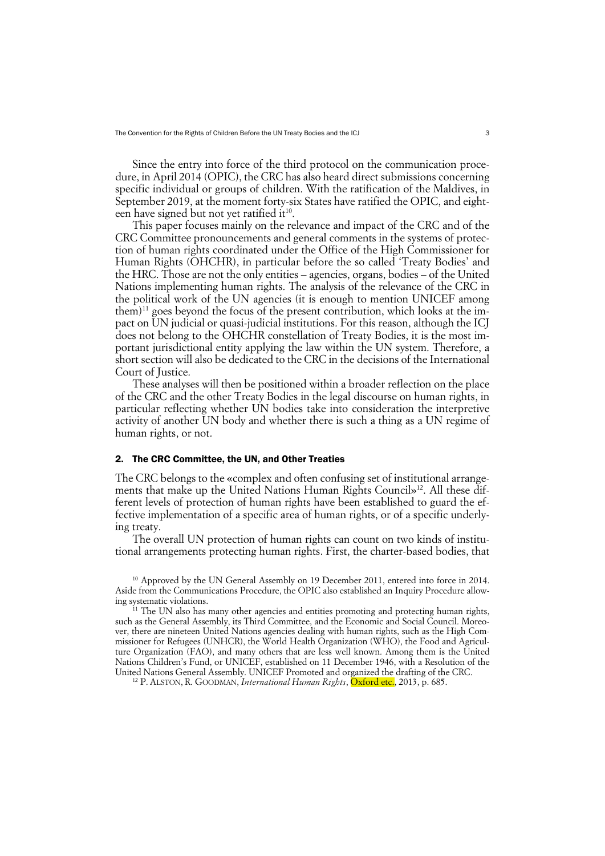Since the entry into force of the third protocol on the communication procedure, in April 2014 (OPIC), the CRC has also heard direct submissions concerning specific individual or groups of children. With the ratification of the Maldives, in September 2019, at the moment forty-six States have ratified the OPIC, and eighteen have signed but not yet ratified it<sup>10</sup>.

This paper focuses mainly on the relevance and impact of the CRC and of the CRC Committee pronouncements and general comments in the systems of protection of human rights coordinated under the Office of the High Commissioner for Human Rights (OHCHR), in particular before the so called 'Treaty Bodies' and the HRC. Those are not the only entities – agencies, organs, bodies – of the United Nations implementing human rights. The analysis of the relevance of the CRC in the political work of the UN agencies (it is enough to mention UNICEF among  $them)$ <sup>11</sup> goes beyond the focus of the present contribution, which looks at the impact on UN judicial or quasi-judicial institutions. For this reason, although the ICJ does not belong to the OHCHR constellation of Treaty Bodies, it is the most important jurisdictional entity applying the law within the UN system. Therefore, a short section will also be dedicated to the CRC in the decisions of the International Court of Justice.

These analyses will then be positioned within a broader reflection on the place of the CRC and the other Treaty Bodies in the legal discourse on human rights, in particular reflecting whether UN bodies take into consideration the interpretive activity of another UN body and whether there is such a thing as a UN regime of human rights, or not.

#### 2. The CRC Committee, the UN, and Other Treaties

The CRC belongs to the «complex and often confusing set of institutional arrangements that make up the United Nations Human Rights Council»<sup>12</sup>. All these different levels of protection of human rights have been established to guard the effective implementation of a specific area of human rights, or of a specific underlying treaty.

The overall UN protection of human rights can count on two kinds of institutional arrangements protecting human rights. First, the charter-based bodies, that

<sup>10</sup> Approved by the UN General Assembly on 19 December 2011, entered into force in 2014. Aside from the Communications Procedure, the OPIC also established an Inquiry Procedure allowing systematic violations.

 $11$  The UN also has many other agencies and entities promoting and protecting human rights, such as the General Assembly, its Third Committee, and the Economic and Social Council. Moreover, there are nineteen United Nations agencies dealing with human rights, such as the High Commissioner for Refugees (UNHCR), the World Health Organization (WHO), the Food and Agriculture Organization (FAO), and many others that are less well known. Among them is the United Nations Children's Fund, or UNICEF, established on 11 December 1946, with a Resolution of the United Nations General Assembly. UNICEF Promoted and organized the drafting of the CRC.

<sup>12</sup> P. ALSTON, R. GOODMAN, *International Human Rights*, Oxford etc., 2013, p. 685.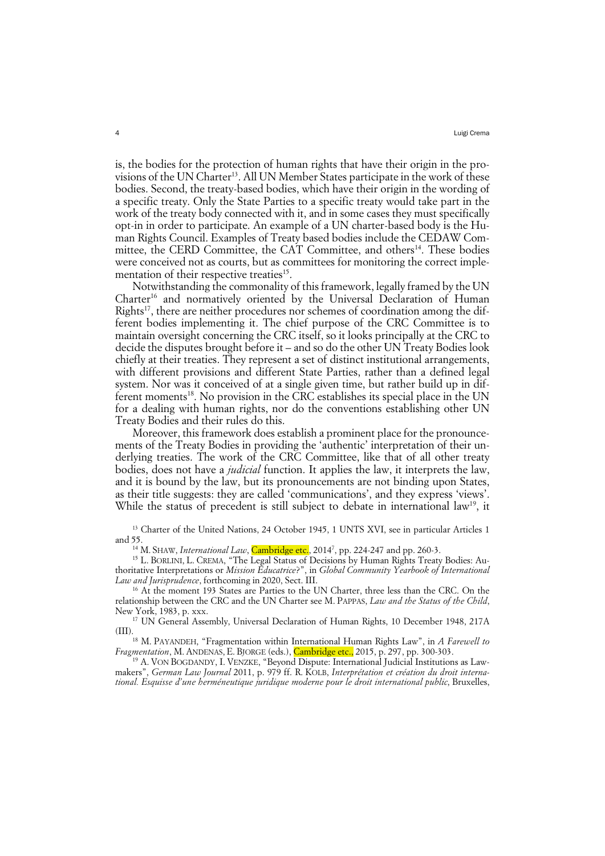is, the bodies for the protection of human rights that have their origin in the provisions of the UN Charter<sup>13</sup>. All UN Member States participate in the work of these bodies. Second, the treaty-based bodies, which have their origin in the wording of a specific treaty. Only the State Parties to a specific treaty would take part in the work of the treaty body connected with it, and in some cases they must specifically opt-in in order to participate. An example of a UN charter-based body is the Human Rights Council. Examples of Treaty based bodies include the CEDAW Committee, the CERD Committee, the CAT Committee, and others<sup>14</sup>. These bodies were conceived not as courts, but as committees for monitoring the correct implementation of their respective treaties<sup>15</sup>.

Notwithstanding the commonality of this framework, legally framed by the UN Charter16 and normatively oriented by the Universal Declaration of Human Rights<sup>17</sup>, there are neither procedures nor schemes of coordination among the different bodies implementing it. The chief purpose of the CRC Committee is to maintain oversight concerning the CRC itself, so it looks principally at the CRC to decide the disputes brought before it – and so do the other UN Treaty Bodies look chiefly at their treaties. They represent a set of distinct institutional arrangements, with different provisions and different State Parties, rather than a defined legal system. Nor was it conceived of at a single given time, but rather build up in different moments<sup>18</sup>. No provision in the CRC establishes its special place in the UN for a dealing with human rights, nor do the conventions establishing other UN Treaty Bodies and their rules do this.

Moreover, this framework does establish a prominent place for the pronouncements of the Treaty Bodies in providing the 'authentic' interpretation of their underlying treaties. The work of the CRC Committee, like that of all other treaty bodies, does not have a *judicial* function. It applies the law, it interprets the law, and it is bound by the law, but its pronouncements are not binding upon States, as their title suggests: they are called 'communications', and they express 'views'. While the status of precedent is still subject to debate in international law<sup>19</sup>, it

<sup>13</sup> Charter of the United Nations, 24 October 1945, 1 UNTS XVI, see in particular Articles 1 and 55.

<sup>14</sup> M. SHAW, *International Law*, Cambridge etc., 2014<sup>7</sup>, pp. 224-247 and pp. 260-3.

<sup>15</sup> L. BORLINI, L. CREMA, "The Legal Status of Decisions by Human Rights Treaty Bodies: Authoritative Interpretations or *Mission Éducatrice*?", in *Global Community Yearbook of International Law and Jurisprudence*, forthcoming in 2020, Sect. III.

<sup>16</sup> At the moment 193 States are Parties to the UN Charter, three less than the CRC. On the relationship between the CRC and the UN Charter see M. PAPPAS, *Law and the Status of the Child*, New York, 1983, p. xxx.

<sup>17</sup> UN General Assembly, Universal Declaration of Human Rights, 10 December 1948, 217A (III).

<sup>18</sup> M. PAYANDEH, "Fragmentation within International Human Rights Law", in *A Farewell to Fragmentation*, M. ANDENAS, E. BJORGE (eds.), Cambridge etc., 2015, p. 297, pp. 300-303.

<sup>19</sup> A. VON BOGDANDY, I. VENZKE, "Beyond Dispute: International Judicial Institutions as Lawmakers", *German Law Journal* 2011, p. 979 ff. R. KOLB, *Interprétation et création du droit international. Esquisse d'une herméneutique juridique moderne pour le droit international public*, Bruxelles,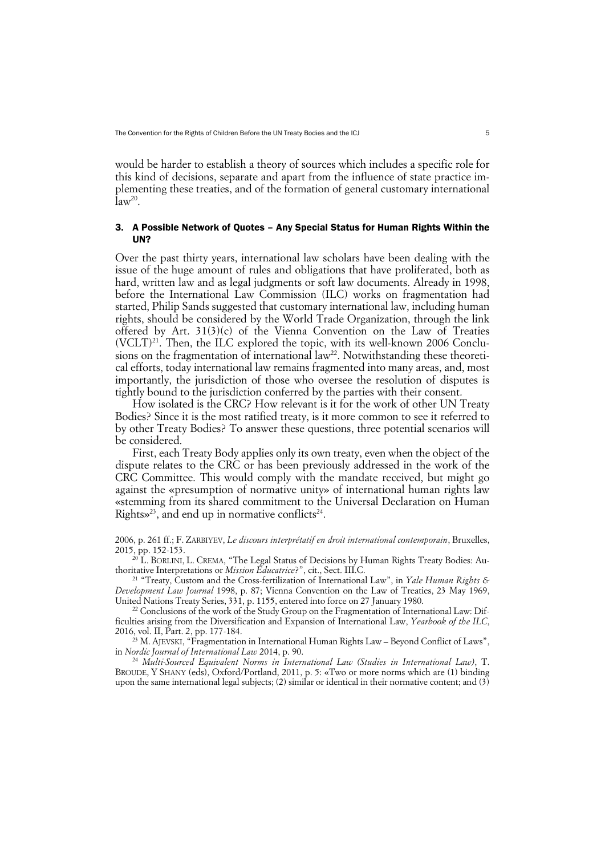would be harder to establish a theory of sources which includes a specific role for this kind of decisions, separate and apart from the influence of state practice implementing these treaties, and of the formation of general customary international  $a^2$ .

## 3. A Possible Network of Quotes – Any Special Status for Human Rights Within the UN?

Over the past thirty years, international law scholars have been dealing with the issue of the huge amount of rules and obligations that have proliferated, both as hard, written law and as legal judgments or soft law documents. Already in 1998, before the International Law Commission (ILC) works on fragmentation had started, Philip Sands suggested that customary international law, including human rights, should be considered by the World Trade Organization, through the link offered by Art. 31(3)(c) of the Vienna Convention on the Law of Treaties  $(VCLT)^{21}$ . Then, the ILC explored the topic, with its well-known 2006 Conclusions on the fragmentation of international  $law^{22}$ . Notwithstanding these theoretical efforts, today international law remains fragmented into many areas, and, most importantly, the jurisdiction of those who oversee the resolution of disputes is tightly bound to the jurisdiction conferred by the parties with their consent.

How isolated is the CRC? How relevant is it for the work of other UN Treaty Bodies? Since it is the most ratified treaty, is it more common to see it referred to by other Treaty Bodies? To answer these questions, three potential scenarios will be considered.

First, each Treaty Body applies only its own treaty, even when the object of the dispute relates to the CRC or has been previously addressed in the work of the CRC Committee. This would comply with the mandate received, but might go against the «presumption of normative unity» of international human rights law «stemming from its shared commitment to the Universal Declaration on Human Rights»<sup>23</sup>, and end up in normative conflicts<sup>24</sup>.

2006, p. 261 ff.; F. ZARBIYEV, *Le discours interprétatif en droit international contemporain*, Bruxelles, 2015, pp. 152-153.

L. BORLINI, L. CREMA, "The Legal Status of Decisions by Human Rights Treaty Bodies: Authoritative Interpretations or *Mission Éducatrice*?", cit., Sect. III.C.

<sup>21</sup> "Treaty, Custom and the Cross-fertilization of International Law", in *Yale Human Rights & Development Law Journal* 1998, p. 87; Vienna Convention on the Law of Treaties, 23 May 1969, United Nations Treaty Series, 331, p. 1155, entered into force on 27 January 1980.

 $^{22}$  Conclusions of the work of the Study Group on the Fragmentation of International Law: Difficulties arising from the Diversification and Expansion of International Law, *Yearbook of the ILC*, 2016, vol. II, Part. 2, pp. 177-184.

<sup>23</sup> M. AJEVSKI, "Fragmentation in International Human Rights Law – Beyond Conflict of Laws", in *Nordic Journal of International Law* 2014, p. 90.

<sup>24</sup> *Multi-Sourced Equivalent Norms in International Law (Studies in International Law)*, T. BROUDE, Y SHANY (eds), Oxford/Portland, 2011, p. 5: «Two or more norms which are (1) binding upon the same international legal subjects; (2) similar or identical in their normative content; and (3)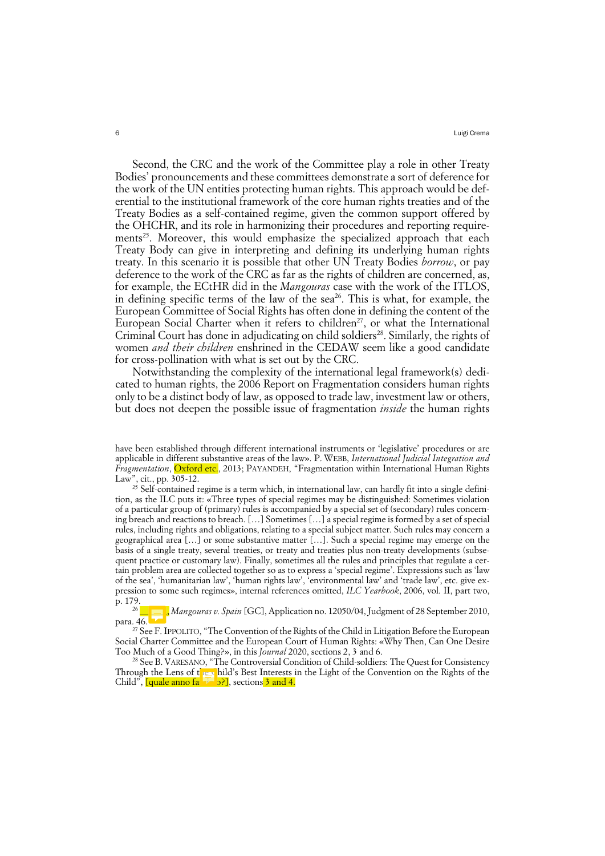Second, the CRC and the work of the Committee play a role in other Treaty Bodies' pronouncements and these committees demonstrate a sort of deference for the work of the UN entities protecting human rights. This approach would be deferential to the institutional framework of the core human rights treaties and of the Treaty Bodies as a self-contained regime, given the common support offered by the OHCHR, and its role in harmonizing their procedures and reporting requirements<sup>25</sup>. Moreover, this would emphasize the specialized approach that each Treaty Body can give in interpreting and defining its underlying human rights treaty. In this scenario it is possible that other UN Treaty Bodies *borrow*, or pay deference to the work of the CRC as far as the rights of children are concerned, as, for example, the ECtHR did in the *Mangouras* case with the work of the ITLOS, in defining specific terms of the law of the sea<sup>26</sup>. This is what, for example, the European Committee of Social Rights has often done in defining the content of the European Social Charter when it refers to children<sup>27</sup>, or what the International Criminal Court has done in adjudicating on child soldiers<sup>28</sup>. Similarly, the rights of women *and their children* enshrined in the CEDAW seem like a good candidate for cross-pollination with what is set out by the CRC.

Notwithstanding the complexity of the international legal framework(s) dedicated to human rights, the 2006 Report on Fragmentation considers human rights only to be a distinct body of law, as opposed to trade law, investment law or others, but does not deepen the possible issue of fragmentation *inside* the human rights

have been established through different international instruments or 'legislative' procedures or are applicable in different substantive areas of the law». P. WEBB, *International Judicial Integration and Fragmentation*, Oxford etc., 2013; PAYANDEH, "Fragmentation within International Human Rights Law", cit., pp. 305-12.

<sup>&</sup>lt;sup>25</sup> Self-contained regime is a term which, in international law, can hardly fit into a single definition, as the ILC puts it: «Three types of special regimes may be distinguished: Sometimes violation of a particular group of (primary) rules is accompanied by a special set of (secondary) rules concerning breach and reactions to breach. […] Sometimes […] a special regime is formed by a set of special rules, including rights and obligations, relating to a special subject matter. Such rules may concern a geographical area […] or some substantive matter […]. Such a special regime may emerge on the basis of a single treaty, several treaties, or treaty and treaties plus non-treaty developments (subsequent practice or customary law). Finally, sometimes all the rules and principles that regulate a certain problem area are collected together so as to express a 'special regime'. Expressions such as 'law of the sea', 'humanitarian law', 'human rights law', 'environmental law' and 'trade law', etc. give expression to some such regimes», internal references omitted, *ILC Yearbook*, 2006, vol. II, part two, p. 179.

<sup>26</sup> \_\_\_\_\_\_, *Mangouras v. Spain* [GC], Application no. 12050/04, Judgment of 28 September 2010, para. 46.

<sup>27</sup> See F. IPPOLITO, "The Convention of the Rights of the Child in Litigation Before the European Social Charter Committee and the European Court of Human Rights: «Why Then, Can One Desire Too Much of a Good Thing?», in this *Journal* 2020, sections 2, 3 and 6.

<sup>28</sup> See B. VARESANO, "The Controversial Condition of Child-soldiers: The Quest for Consistency Through the Lens of the child's Best Interests in the Light of the Convention on the Rights of the Child", <mark>[quale anno fasciolo],</mark> sections 3 and 4.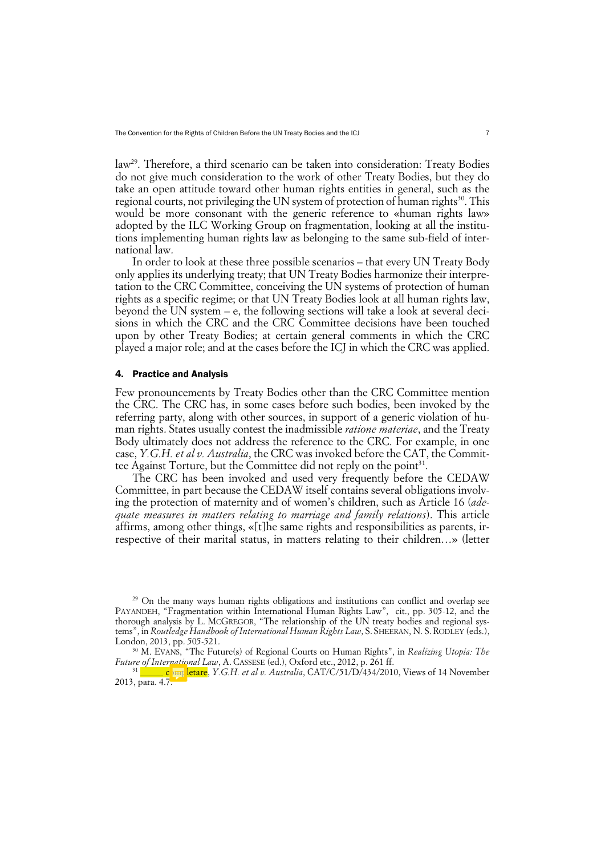The Convention for the Rights of Children Before the UN Treaty Bodies and the ICJ 7 7

law29. Therefore, a third scenario can be taken into consideration: Treaty Bodies do not give much consideration to the work of other Treaty Bodies, but they do take an open attitude toward other human rights entities in general, such as the regional courts, not privileging the UN system of protection of human rights<sup>30</sup>. This would be more consonant with the generic reference to «human rights law» adopted by the ILC Working Group on fragmentation, looking at all the institutions implementing human rights law as belonging to the same sub-field of international law.

In order to look at these three possible scenarios – that every UN Treaty Body only applies its underlying treaty; that UN Treaty Bodies harmonize their interpretation to the CRC Committee, conceiving the UN systems of protection of human rights as a specific regime; or that UN Treaty Bodies look at all human rights law, beyond the UN system – e, the following sections will take a look at several decisions in which the CRC and the CRC Committee decisions have been touched upon by other Treaty Bodies; at certain general comments in which the CRC played a major role; and at the cases before the ICJ in which the CRC was applied.

## 4. Practice and Analysis

Few pronouncements by Treaty Bodies other than the CRC Committee mention the CRC. The CRC has, in some cases before such bodies, been invoked by the referring party, along with other sources, in support of a generic violation of human rights. States usually contest the inadmissible *ratione materiae*, and the Treaty Body ultimately does not address the reference to the CRC. For example, in one case, *Y.G.H. et al v. Australia*, the CRC was invoked before the CAT, the Committee Against Torture, but the Committee did not reply on the point<sup>31</sup>.

The CRC has been invoked and used very frequently before the CEDAW Committee, in part because the CEDAW itself contains several obligations involving the protection of maternity and of women's children, such as Article 16 (*adequate measures in matters relating to marriage and family relations*). This article affirms, among other things, «[t]he same rights and responsibilities as parents, irrespective of their marital status, in matters relating to their children…» (letter

<sup>&</sup>lt;sup>29</sup> On the many ways human rights obligations and institutions can conflict and overlap see PAYANDEH, "Fragmentation within International Human Rights Law", cit., pp. 305-12, and the thorough analysis by L. McGREGOR, "The relationship of the UN treaty bodies and regional systems", in *Routledge Handbook of International Human Rights Law*, S. SHEERAN, N. S. RODLEY (eds.), London, 2013, pp. 505-521.

<sup>30</sup> M. EVANS, "The Future(s) of Regional Courts on Human Rights", in *Realizing Utopia: The Future of International Law*, A. CASSESE (ed.), Oxford etc., 2012, p. 261 ff. <sup>31</sup> \_\_\_\_\_ c<sup>31</sup> letare, *Y.G.H. et al v. Australia*, CAT/C/51/D/434/2010, Views of 14 November

<sup>2013,</sup> para. 4.7.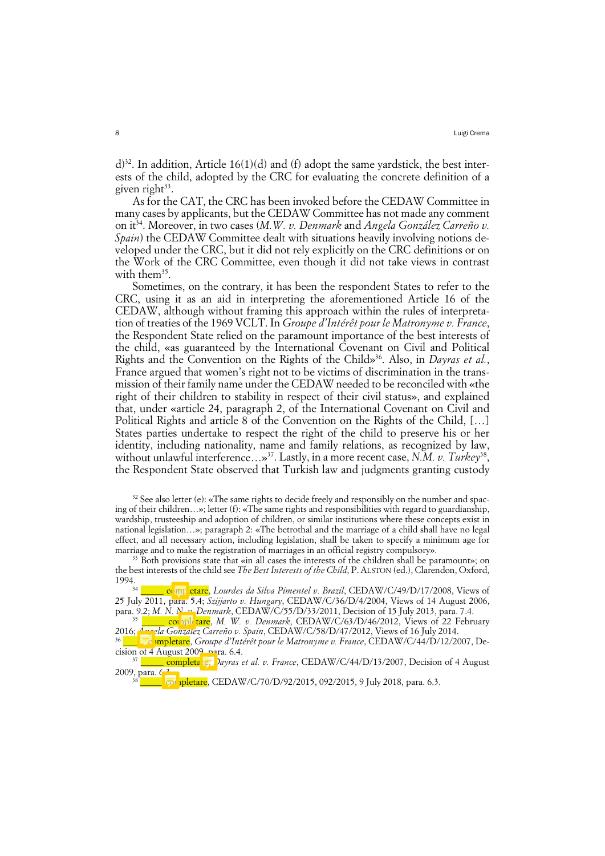d)<sup>32</sup>. In addition, Article 16(1)(d) and (f) adopt the same vardstick, the best interests of the child, adopted by the CRC for evaluating the concrete definition of a given right $33$ .

As for the CAT, the CRC has been invoked before the CEDAW Committee in many cases by applicants, but the CEDAW Committee has not made any comment on it<sup>34</sup>. Moreover, in two cases (M.W. v. Denmark and Angela González Carreño v. *Spain*) the CEDAW Committee dealt with situations heavily involving notions developed under the CRC, but it did not rely explicitly on the CRC definitions or on the Work of the CRC Committee, even though it did not take views in contrast with the $m^{35}$ .

Sometimes, on the contrary, it has been the respondent States to refer to the CRC, using it as an aid in interpreting the aforementioned Article 16 of the CEDAW, although without framing this approach within the rules of interpretation of treaties of the 1969 VCLT. In *Groupe d'Intérêt pour le Matronyme v. France*, the Respondent State relied on the paramount importance of the best interests of the child, «as guaranteed by the International Covenant on Civil and Political Rights and the Convention on the Rights of the Child»<sup>36</sup>. Also, in *Dayras et al.*, France argued that women's right not to be victims of discrimination in the transmission of their family name under the CEDAW needed to be reconciled with «the right of their children to stability in respect of their civil status», and explained that, under «article 24, paragraph 2, of the International Covenant on Civil and Political Rights and article 8 of the Convention on the Rights of the Child, […] States parties undertake to respect the right of the child to preserve his or her identity, including nationality, name and family relations, as recognized by law, without unlawful interference…»37. Lastly, in a more recent case, *N.M. v. Turkey*38, the Respondent State observed that Turkish law and judgments granting custody

 $32$  See also letter (e): «The same rights to decide freely and responsibly on the number and spacing of their children…»; letter (f): «The same rights and responsibilities with regard to guardianship, wardship, trusteeship and adoption of children, or similar institutions where these concepts exist in national legislation…»; paragraph 2: «The betrothal and the marriage of a child shall have no legal effect, and all necessary action, including legislation, shall be taken to specify a minimum age for marriage and to make the registration of marriages in an official registry compulsory».

<sup>33</sup> Both provisions state that «in all cases the interests of the children shall be paramount»; on the best interests of the child see *The Best Interests of the Child*, P. ALSTON (ed.), Clarendon, Oxford,

1994.34 \_\_\_\_\_ completare, *Lourdes da Silva Pimentel v. Brazil*, CEDAW/C/49/D/17/2008, Views of 25 July 2011, para. 5.4; *Szijjarto v. Hungary*, CEDAW/C/36/D/4/2004, Views of 14 August 2006, para. 9.2; *M. N. N. v. Denmark*, CEDAW/C/55/D/33/2011, Decision of 15 July 2013, para. 7.4.

<sup>35</sup> \_\_\_\_\_\_ completare, *M. W. v. Denmark*, CEDAW/C/63/D/46/2012, Views of 22 February 2016; *Angela González Carreño v. Spain*, CEDAW/C/58/D/47/2012, Views of 16 July 2014.

<sup>36</sup> de mpletare, *Groupe d'Intérêt pour le Matronyme v. France*, CEDAW/C/44/D/12/2007, Decision of 4 August 2009, para.  $6.4$ .

<sup>37</sup> \_\_\_\_\_ completa<sup>re,</sup> *Dayras et al. v. France*, CEDAW/C/44/D/13/2007, Decision of 4 August 2009, para. 6<sup>2</sup>

**E** <u>completare,</u> CEDAW/C/70/D/92/2015, 092/2015, 9 July 2018, para. 6.3.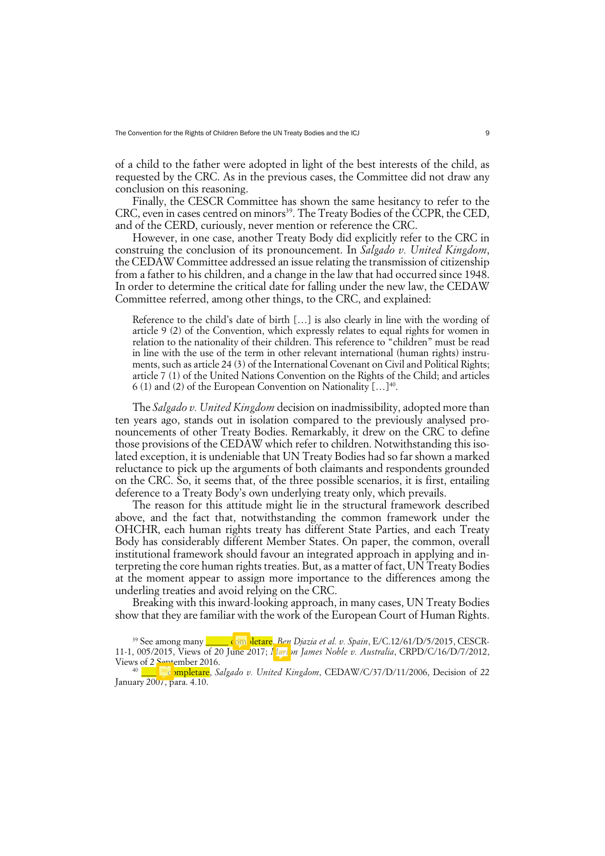of a child to the father were adopted in light of the best interests of the child, as requested by the CRC. As in the previous cases, the Committee did not draw any conclusion on this reasoning.

Finally, the CESCR Committee has shown the same hesitancy to refer to the CRC, even in cases centred on minors<sup>39</sup>. The Treaty Bodies of the CCPR, the CED, and of the CERD, curiously, never mention or reference the CRC.

However, in one case, another Treaty Body did explicitly refer to the CRC in construing the conclusion of its pronouncement. In *Salgado v. United Kingdom*, the CEDAW Committee addressed an issue relating the transmission of citizenship from a father to his children, and a change in the law that had occurred since 1948. In order to determine the critical date for falling under the new law, the CEDAW Committee referred, among other things, to the CRC, and explained:

Reference to the child's date of birth […] is also clearly in line with the wording of article 9 (2) of the Convention, which expressly relates to equal rights for women in relation to the nationality of their children. This reference to "children" must be read in line with the use of the term in other relevant international (human rights) instruments, such as article 24 (3) of the International Covenant on Civil and Political Rights; article 7 (1) of the United Nations Convention on the Rights of the Child; and articles 6 (1) and (2) of the European Convention on Nationality  $[...]^{40}$ .

The *Salgado v. United Kingdom* decision on inadmissibility, adopted more than ten years ago, stands out in isolation compared to the previously analysed pronouncements of other Treaty Bodies. Remarkably, it drew on the CRC to define those provisions of the CEDAW which refer to children. Notwithstanding this isolated exception, it is undeniable that UN Treaty Bodies had so far shown a marked reluctance to pick up the arguments of both claimants and respondents grounded on the CRC. So, it seems that, of the three possible scenarios, it is first, entailing deference to a Treaty Body's own underlying treaty only, which prevails.

The reason for this attitude might lie in the structural framework described above, and the fact that, notwithstanding the common framework under the OHCHR, each human rights treaty has different State Parties, and each Treaty Body has considerably different Member States. On paper, the common, overall institutional framework should favour an integrated approach in applying and interpreting the core human rights treaties. But, as a matter of fact, UN Treaty Bodies at the moment appear to assign more importance to the differences among the underling treaties and avoid relying on the CRC.

Breaking with this inward-looking approach, in many cases, UN Treaty Bodies show that they are familiar with the work of the European Court of Human Rights.

<sup>&</sup>lt;sup>39</sup> See among many **completare**, *Ben Djazia et al. v. Spain*, E/C.12/61/D/5/2015, CESCR-11-1, 005/2015, Views of 20 June 2017; *Marlon James Noble v. Australia*, CRPD/C/16/D/7/2012, Views of 2 September 2016.

<sup>40</sup> \_\_\_\_\_ completare, *Salgado v. United Kingdom*, CEDAW/C/37/D/11/2006, Decision of 22 January 2007, para. 4.10.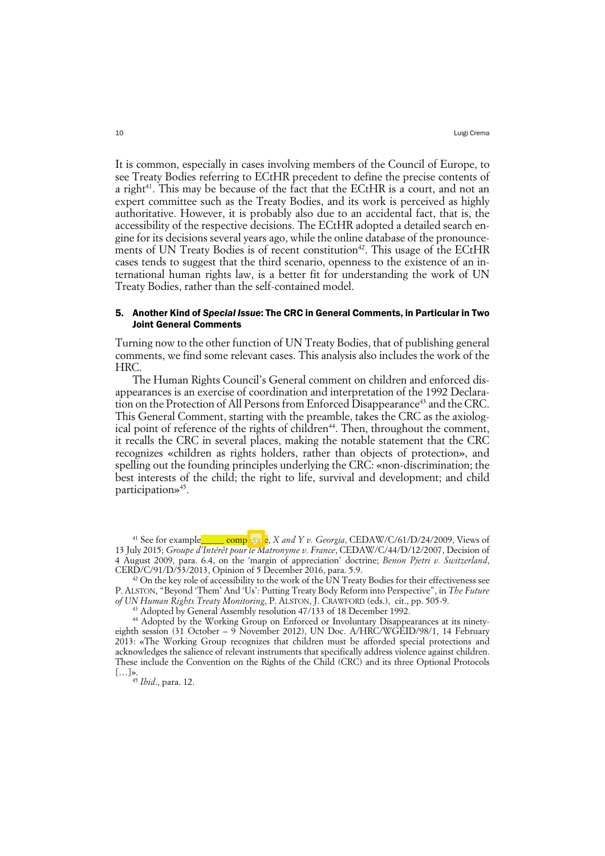It is common, especially in cases involving members of the Council of Europe, to see Treaty Bodies referring to ECtHR precedent to define the precise contents of a right<sup>41</sup>. This may be because of the fact that the ECtHR is a court, and not an expert committee such as the Treaty Bodies, and its work is perceived as highly authoritative. However, it is probably also due to an accidental fact, that is, the accessibility of the respective decisions. The ECtHR adopted a detailed search engine for its decisions several years ago, while the online database of the pronouncements of UN Treaty Bodies is of recent constitution<sup>42</sup>. This usage of the ECtHR cases tends to suggest that the third scenario, openness to the existence of an international human rights law, is a better fit for understanding the work of UN Treaty Bodies, rather than the self-contained model.

## 5. Another Kind of *Special Issue*: The CRC in General Comments, in Particular in Two Joint General Comments

Turning now to the other function of UN Treaty Bodies, that of publishing general comments, we find some relevant cases. This analysis also includes the work of the HRC.

The Human Rights Council's General comment on children and enforced disappearances is an exercise of coordination and interpretation of the 1992 Declaration on the Protection of All Persons from Enforced Disappearance<sup>43</sup> and the CRC. This General Comment, starting with the preamble, takes the CRC as the axiological point of reference of the rights of children<sup>44</sup>. Then, throughout the comment, it recalls the CRC in several places, making the notable statement that the CRC recognizes «children as rights holders, rather than objects of protection», and spelling out the founding principles underlying the CRC: «non-discrimination; the best interests of the child; the right to life, survival and development; and child participation»<sup>45</sup>.

<sup>&</sup>lt;sup>41</sup> See for example  $\overline{\text{comp}}$   $\overline{\text{eta}}$   $\overline{\text{e}}$ , *X and Y v. Georgia*, CEDAW/C/61/D/24/2009, Views of 13 July 2015; *Groupe d'Intérêt pour le Matronyme v. France*, CEDAW/C/44/D/12/2007, Decision of 4 August 2009, para. 6.4, on the 'margin of appreciation' doctrine; *Benon Pjetri v. Switzerland*, CERD/C/91/D/53/2013, Opinion of 5 December 2016, para. 5.9.

<sup>&</sup>lt;sup>42</sup> On the key role of accessibility to the work of the UN Treaty Bodies for their effectiveness see P. ALSTON, "Beyond 'Them' And 'Us': Putting Treaty Body Reform into Perspective", in *The Future of UN Human Rights Treaty Monitoring*, P. ALSTON, J. CRAWFORD (eds.), cit., pp. 505-9.

<sup>&</sup>lt;sup>43</sup> Adopted by General Assembly resolution 47/133 of 18 December 1992.

<sup>44</sup> Adopted by the Working Group on Enforced or Involuntary Disappearances at its ninetyeighth session (31 October – 9 November 2012), UN Doc. A/HRC/WGEID/98/1, 14 February 2013: «The Working Group recognizes that children must be afforded special protections and acknowledges the salience of relevant instruments that specifically address violence against children. These include the Convention on the Rights of the Child (CRC) and its three Optional Protocols […]».

<sup>45</sup> *Ibid*., para. 12.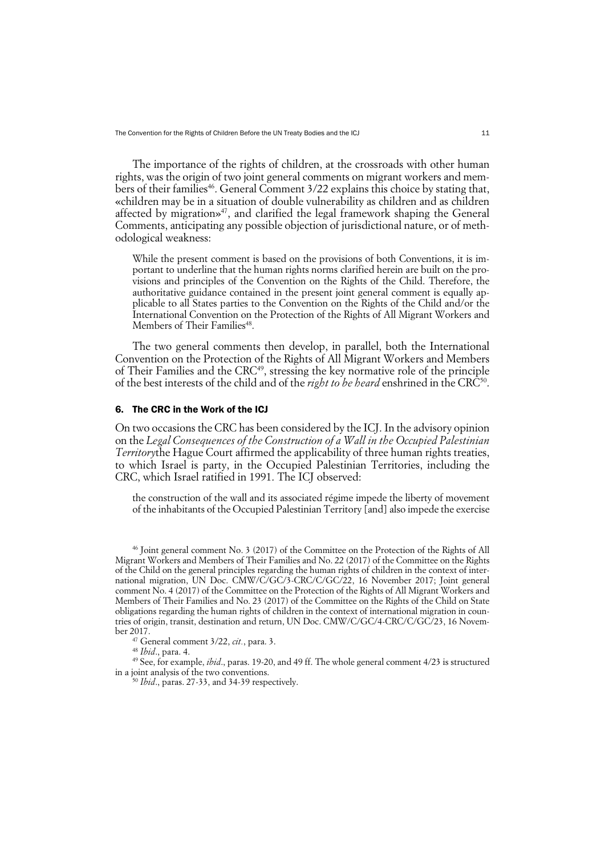The Convention for the Rights of Children Before the UN Treaty Bodies and the ICJ 11

The importance of the rights of children, at the crossroads with other human rights, was the origin of two joint general comments on migrant workers and members of their families<sup>46</sup>. General Comment 3/22 explains this choice by stating that, «children may be in a situation of double vulnerability as children and as children affected by migration»<sup>47</sup>, and clarified the legal framework shaping the General Comments, anticipating any possible objection of jurisdictional nature, or of methodological weakness:

While the present comment is based on the provisions of both Conventions, it is important to underline that the human rights norms clarified herein are built on the provisions and principles of the Convention on the Rights of the Child. Therefore, the authoritative guidance contained in the present joint general comment is equally applicable to all States parties to the Convention on the Rights of the Child and/or the International Convention on the Protection of the Rights of All Migrant Workers and Members of Their Families<sup>48</sup>.

The two general comments then develop, in parallel, both the International Convention on the Protection of the Rights of All Migrant Workers and Members of Their Families and the CRC<sup>49</sup>, stressing the key normative role of the principle of the best interests of the child and of the *right to be heard* enshrined in the CRC<sup>50</sup>.

#### 6. The CRC in the Work of the ICJ

On two occasions the CRC has been considered by the ICJ. In the advisory opinion on the *Legal Consequences of the Construction of a Wall in the Occupied Palestinian Territory*the Hague Court affirmed the applicability of three human rights treaties, to which Israel is party, in the Occupied Palestinian Territories, including the CRC, which Israel ratified in 1991. The ICJ observed:

the construction of the wall and its associated régime impede the liberty of movement of the inhabitants of the Occupied Palestinian Territory [and] also impede the exercise

<sup>47</sup> General comment 3/22, *cit.*, para. 3. 48 *Ibid*., para. 4.

<sup>49</sup> See, for example, *ibid*., paras. 19-20, and 49 ff. The whole general comment 4/23 is structured in a joint analysis of the two conventions. 50 *Ibid*., paras. 27-33, and 34-39 respectively.

<sup>46</sup> Joint general comment No. 3 (2017) of the Committee on the Protection of the Rights of All Migrant Workers and Members of Their Families and No. 22 (2017) of the Committee on the Rights of the Child on the general principles regarding the human rights of children in the context of international migration, UN Doc. CMW/C/GC/3-CRC/C/GC/22, 16 November 2017; Joint general comment No. 4 (2017) of the Committee on the Protection of the Rights of All Migrant Workers and Members of Their Families and No. 23 (2017) of the Committee on the Rights of the Child on State obligations regarding the human rights of children in the context of international migration in countries of origin, transit, destination and return, UN Doc. CMW/C/GC/4-CRC/C/GC/23, 16 November 2017.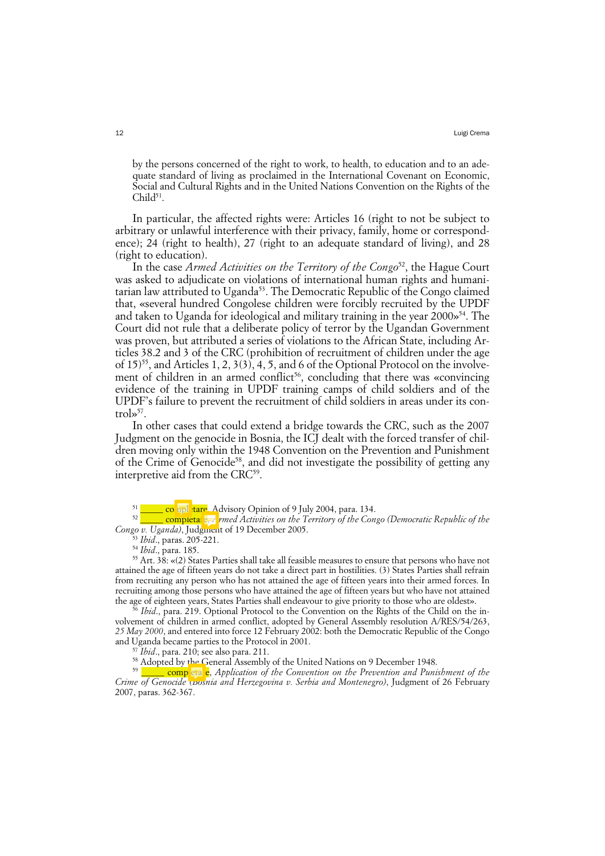by the persons concerned of the right to work, to health, to education and to an adequate standard of living as proclaimed in the International Covenant on Economic, Social and Cultural Rights and in the United Nations Convention on the Rights of the  $Child^{51}$ .

In particular, the affected rights were: Articles 16 (right to not be subject to arbitrary or unlawful interference with their privacy, family, home or correspondence); 24 (right to health), 27 (right to an adequate standard of living), and 28 (right to education).

In the case *Armed Activities on the Territory of the Congo*52, the Hague Court was asked to adjudicate on violations of international human rights and humanitarian law attributed to Uganda<sup>53</sup>. The Democratic Republic of the Congo claimed that, «several hundred Congolese children were forcibly recruited by the UPDF and taken to Uganda for ideological and military training in the year  $2000\frac{s}{4}$ . The Court did not rule that a deliberate policy of terror by the Ugandan Government was proven, but attributed a series of violations to the African State, including Articles 38.2 and 3 of the CRC (prohibition of recruitment of children under the age of  $15$ <sup>55</sup>, and Articles 1, 2, 3(3), 4, 5, and 6 of the Optional Protocol on the involvement of children in an armed conflict<sup>56</sup>, concluding that there was «convincing evidence of the training in UPDF training camps of child soldiers and of the UPDF's failure to prevent the recruitment of child soldiers in areas under its con $t$ rol $\frac{57}{2}$ .

In other cases that could extend a bridge towards the CRC, such as the 2007 Judgment on the genocide in Bosnia, the ICJ dealt with the forced transfer of children moving only within the 1948 Convention on the Prevention and Punishment of the Crime of Genocide<sup>58</sup>, and did not investigate the possibility of getting any interpretive aid from the CRC<sup>59</sup>.

<sup>53</sup> *Ibid*., paras. 205-221.

<sup>54</sup> *Ibid*., para. 185.

<sup>55</sup> Art. 38: «(2) States Parties shall take all feasible measures to ensure that persons who have not attained the age of fifteen years do not take a direct part in hostilities. (3) States Parties shall refrain from recruiting any person who has not attained the age of fifteen years into their armed forces. In recruiting among those persons who have attained the age of fifteen years but who have not attained the age of eighteen years, States Parties shall endeavour to give priority to those who are oldest».

<sup>5</sup> *Ibid.*, para. 219. Optional Protocol to the Convention on the Rights of the Child on the involvement of children in armed conflict, adopted by General Assembly resolution A/RES/54/263, *25 May 2000*, and entered into force 12 February 2002: both the Democratic Republic of the Congo and Uganda became parties to the Protocol in 2001.

 $\sqrt{J}$  *Ibid.*, para. 210; see also para. 211.

<sup>58</sup> Adopted by the General Assembly of the United Nations on 9 December 1948.

 $\_$  completale, *Application of the Convention on the Prevention and Punishment of the Crime of Genocide (Bosnia and Herzegovina v. Serbia and Montenegro)*, Judgment of 26 February 2007, paras. 362-367.

<sup>&</sup>lt;sup>51</sup> \_\_\_\_\_ completare\_Advisory Opinion of 9 July 2004, para. 134.

<sup>&</sup>lt;sup>52</sup> \_\_\_\_\_ completare, *rmed Activities on the Territory of the Congo (Democratic Republic of the Congo v. Uganda)*, Judgment of 19 December 2005.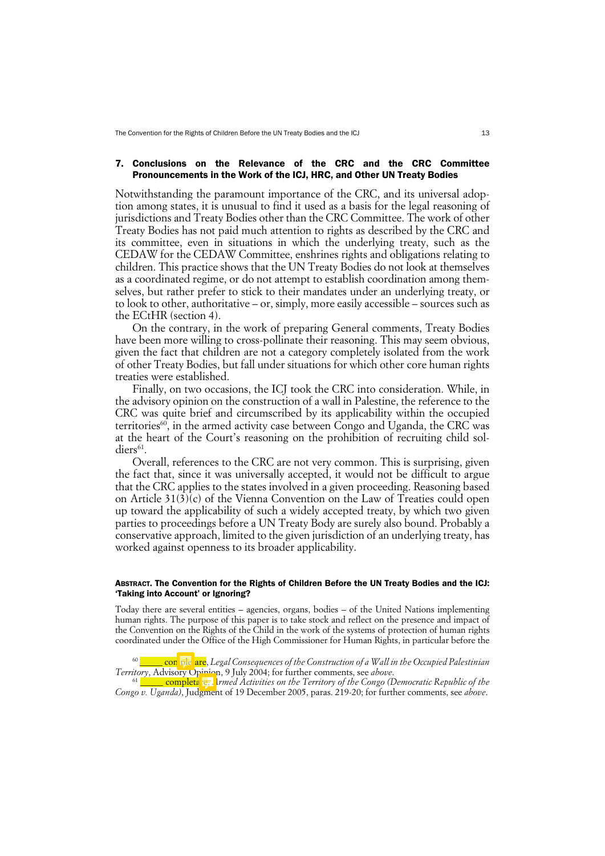## 7. Conclusions on the Relevance of the CRC and the CRC Committee Pronouncements in the Work of the ICJ, HRC, and Other UN Treaty Bodies

Notwithstanding the paramount importance of the CRC, and its universal adoption among states, it is unusual to find it used as a basis for the legal reasoning of jurisdictions and Treaty Bodies other than the CRC Committee. The work of other Treaty Bodies has not paid much attention to rights as described by the CRC and its committee, even in situations in which the underlying treaty, such as the CEDAW for the CEDAW Committee, enshrines rights and obligations relating to children. This practice shows that the UN Treaty Bodies do not look at themselves as a coordinated regime, or do not attempt to establish coordination among themselves, but rather prefer to stick to their mandates under an underlying treaty, or to look to other, authoritative – or, simply, more easily accessible – sources such as the ECtHR (section 4).

On the contrary, in the work of preparing General comments, Treaty Bodies have been more willing to cross-pollinate their reasoning. This may seem obvious, given the fact that children are not a category completely isolated from the work of other Treaty Bodies, but fall under situations for which other core human rights treaties were established.

Finally, on two occasions, the ICJ took the CRC into consideration. While, in the advisory opinion on the construction of a wall in Palestine, the reference to the CRC was quite brief and circumscribed by its applicability within the occupied territories<sup>60</sup>, in the armed activity case between Congo and Uganda, the CRC was at the heart of the Court's reasoning on the prohibition of recruiting child soldiers<sup>61</sup>.

Overall, references to the CRC are not very common. This is surprising, given the fact that, since it was universally accepted, it would not be difficult to argue that the CRC applies to the states involved in a given proceeding. Reasoning based on Article 31(3)(c) of the Vienna Convention on the Law of Treaties could open up toward the applicability of such a widely accepted treaty, by which two given parties to proceedings before a UN Treaty Body are surely also bound. Probably a conservative approach, limited to the given jurisdiction of an underlying treaty, has worked against openness to its broader applicability.

### ABSTRACT. The Convention for the Rights of Children Before the UN Treaty Bodies and the ICJ: 'Taking into Account' or Ignoring?

Today there are several entities – agencies, organs, bodies – of the United Nations implementing human rights. The purpose of this paper is to take stock and reflect on the presence and impact of the Convention on the Rights of the Child in the work of the systems of protection of human rights coordinated under the Office of the High Commissioner for Human Rights, in particular before the

<sup>60</sup> \_\_\_\_\_ completare, *Legal Consequences of the Construction of a Wall in the Occupied Palestinian Territory*, Advisory Opinion, 9 July 2004; for further comments, see *above*.

<sup>61</sup> \_\_\_\_\_ completare, *Armed Activities on the Territory of the Congo (Democratic Republic of the Congo v. Uganda)*, Judgment of 19 December 2005, paras. 219-20; for further comments, see *above*.